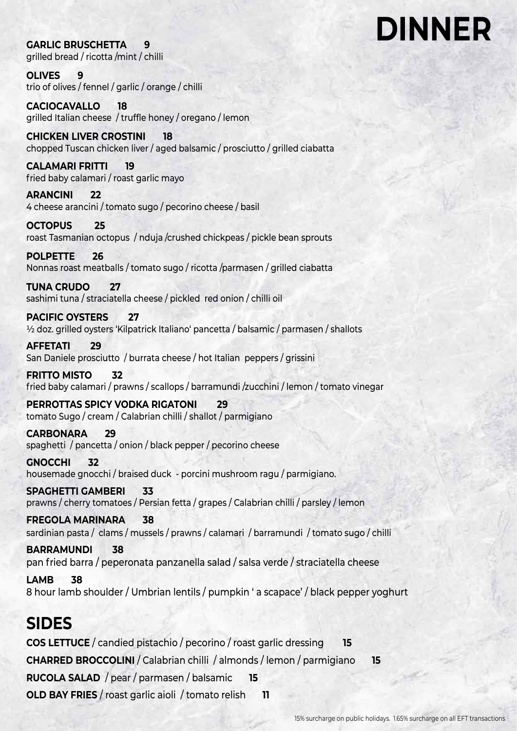### **DINNER**

**GARLIC BRUSCHETTA 9**  grilled bread / ricotta /mint / chilli

**OLIVES 9** trio of olives / fennel / garlic / orange / chilli

**CACIOCAVALLO 18**  grilled Italian cheese / truffle honey / oregano / lemon

**CHICKEN LIVER CROSTINI 18** chopped Tuscan chicken liver / aged balsamic / prosciutto / grilled ciabatta

**CALAMARI FRITTI 19**  fried baby calamari / roast garlic mayo

**ARANCINI 22**  4 cheese arancini / tomato sugo / pecorino cheese / basil

**OCTOPUS 25** roast Tasmanian octopus / nduja /crushed chickpeas / pickle bean sprouts

**POLPETTE 26**  Nonnas roast meatballs / tomato sugo / ricotta /parmasen / grilled ciabatta

**TUNA CRUDO 27** sashimi tuna / straciatella cheese / pickled red onion / chilli oil

**PACIFIC OYSTERS 27** ½ doz. grilled oysters 'Kilpatrick Italiano' pancetta / balsamic / parmasen / shallots

**AFFETATI 29** San Daniele prosciutto / burrata cheese / hot Italian peppers / grissini

**FRITTO MISTO 32** fried baby calamari / prawns / scallops / barramundi /zucchini / lemon / tomato vinegar

**PERROTTAS SPICY VODKA RIGATONI 29**  tomato Sugo / cream / Calabrian chilli / shallot / parmigiano

**CARBONARA 29**  spaghetti / pancetta / onion / black pepper / pecorino cheese

**GNOCCHI 32** housemade gnocchi / braised duck - porcini mushroom ragu / parmigiano.

**SPAGHETTI GAMBERI 33** prawns / cherry tomatoes / Persian fetta / grapes / Calabrian chilli / parsley / lemon

**FREGOLA MARINARA 38** sardinian pasta / clams / mussels / prawns / calamari / barramundi / tomato sugo / chilli

**BARRAMUNDI 38** pan fried barra / peperonata panzanella salad / salsa verde / straciatella cheese

**LAMB 38** 8 hour lamb shoulder / Umbrian lentils / pumpkin ' a scapace' / black pepper yoghurt

#### **SIDES**

**COS LETTUCE** / candied pistachio / pecorino / roast garlic dressing **15 CHARRED BROCCOLINI** / Calabrian chilli / almonds / lemon / parmigiano **15 RUCOLA SALAD** / pear / parmasen / balsamic **15 OLD BAY FRIES** / roast garlic aioli / tomato relish **11**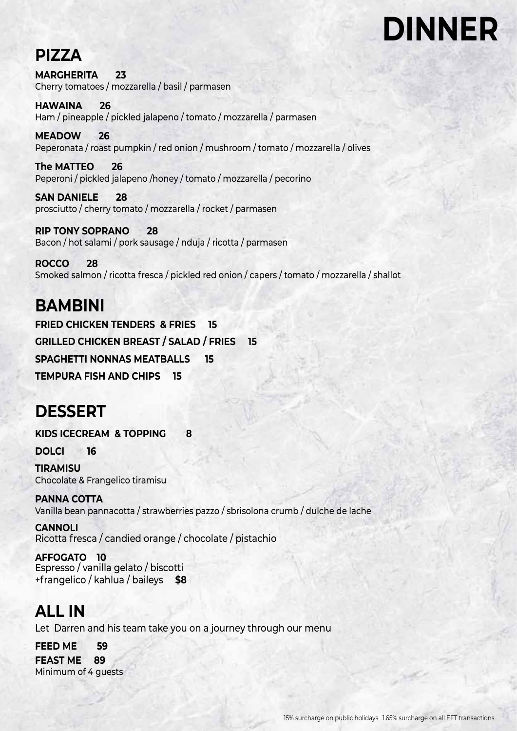## **DINNER**

#### **PIZZA**

**MARGHERITA 23**  Cherry tomatoes / mozzarella / basil / parmasen

**HAWAINA 26**  Ham / pineapple / pickled jalapeno / tomato / mozzarella / parmasen

**MEADOW 26** Peperonata / roast pumpkin / red onion / mushroom / tomato / mozzarella / olives

**The MATTEO 26**  Peperoni / pickled jalapeno /honey / tomato / mozzarella / pecorino

**SAN DANIELE 28** prosciutto / cherry tomato / mozzarella / rocket / parmasen

**RIP TONY SOPRANO 28** Bacon / hot salami / pork sausage / nduja / ricotta / parmasen

**ROCCO 28**  Smoked salmon / ricotta fresca / pickled red onion / capers / tomato / mozzarella / shallot

#### **BAMBINI FRIED CHICKEN TENDERS & FRIES 15 GRILLED CHICKEN BREAST / SALAD / FRIES 15 SPAGHETTI NONNAS MEATBALLS 15 TEMPURA FISH AND CHIPS 15**

#### **DESSERT**

**KIDS ICECREAM & TOPPING 8**

**DOLCI 16**

**TIRAMISU**  Chocolate & Frangelico tiramisu

**PANNA COTTA**  Vanilla bean pannacotta / strawberries pazzo / sbrisolona crumb / dulche de lache

**CANNOLI**  Ricotta fresca / candied orange / chocolate / pistachio

**AFFOGATO 10** Espresso / vanilla gelato / biscotti +frangelico / kahlua / baileys **\$8**

#### **ALL IN**

Let Darren and his team take you on a journey through our menu

 **FEED ME 59 FEAST ME 89** Minimum of 4 guests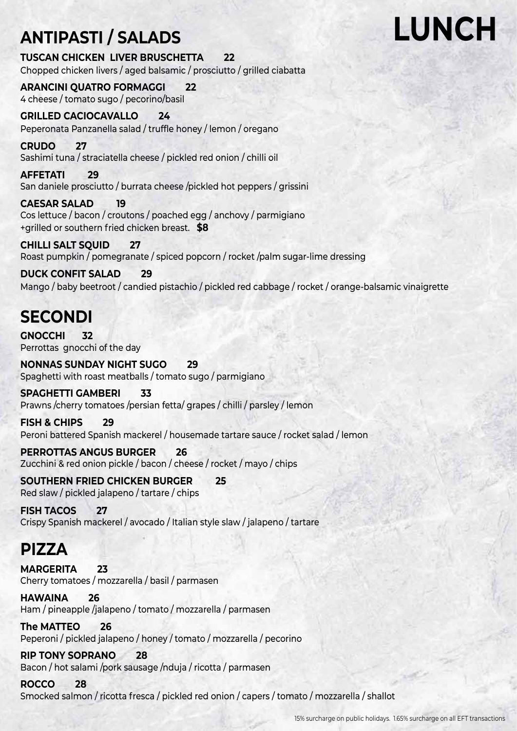### **ANTIPASTI / SALADS**

**TUSCAN CHICKEN LIVER BRUSCHETTA 22** Chopped chicken livers / aged balsamic / prosciutto / grilled ciabatta

**ARANCINI QUATRO FORMAGGI 22** 4 cheese / tomato sugo / pecorino/basil

**GRILLED CACIOCAVALLO 24**  Peperonata Panzanella salad / truffle honey / lemon / oregano

**CRUDO 27** Sashimi tuna / straciatella cheese / pickled red onion / chilli oil

**AFFETATI 29** San daniele prosciutto / burrata cheese /pickled hot peppers / grissini

**CAESAR SALAD 19**  Cos lettuce / bacon / croutons / poached egg / anchovy / parmigiano +grilled or southern fried chicken breast. **\$8**

**CHILLI SALT SQUID 27**  Roast pumpkin / pomegranate / spiced popcorn / rocket /palm sugar-lime dressing

**DUCK CONFIT SALAD 29**  Mango / baby beetroot / candied pistachio / pickled red cabbage / rocket / orange-balsamic vinaigrette

### **SECONDI**

**GNOCCHI 32** Perrottas gnocchi of the day

**NONNAS SUNDAY NIGHT SUGO 29** Spaghetti with roast meatballs / tomato sugo / parmigiano

**SPAGHETTI GAMBERI 33**  Prawns /cherry tomatoes /persian fetta/ grapes / chilli / parsley / lemon

**FISH & CHIPS 29** Peroni battered Spanish mackerel / housemade tartare sauce / rocket salad / lemon

**PERROTTAS ANGUS BURGER 26** Zucchini & red onion pickle / bacon / cheese / rocket / mayo / chips

**SOUTHERN FRIED CHICKEN BURGER 25** Red slaw / pickled jalapeno / tartare / chips

**FISH TACOS 27** Crispy Spanish mackerel / avocado / Italian style slaw / jalapeno / tartare

#### **PIZZA**

**MARGERITA 23**  Cherry tomatoes / mozzarella / basil / parmasen

**HAWAINA 26**  Ham / pineapple /jalapeno / tomato / mozzarella / parmasen

**The MATTEO 26**  Peperoni / pickled jalapeno / honey / tomato / mozzarella / pecorino

**RIP TONY SOPRANO 28**  Bacon / hot salami /pork sausage /nduja / ricotta / parmasen

**ROCCO 28**  Smocked salmon / ricotta fresca / pickled red onion / capers / tomato / mozzarella / shallot

#### 15% surcharge on public holidays. 1.65% surcharge on all EFT transactions

**LUNCH**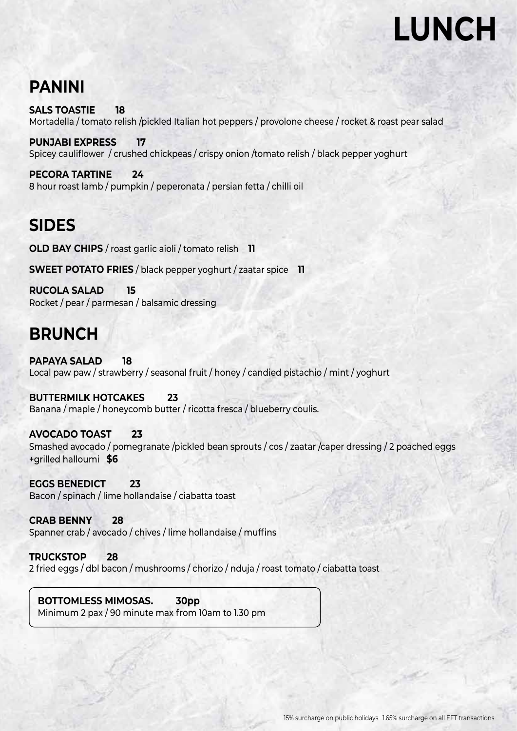### **LUNCH**

#### **PANINI**

**SALS TOASTIE 18**  Mortadella / tomato relish /pickled Italian hot peppers / provolone cheese / rocket & roast pear salad

**PUNJABI EXPRESS 17**  Spicey cauliflower / crushed chickpeas / crispy onion /tomato relish / black pepper yoghurt

**PECORA TARTINE 24**  8 hour roast lamb / pumpkin / peperonata / persian fetta / chilli oil

#### **SIDES**

**OLD BAY CHIPS** / roast garlic aioli / tomato relish **11**

**SWEET POTATO FRIES** / black pepper yoghurt / zaatar spice **11**

**RUCOLA SALAD 15** Rocket / pear / parmesan / balsamic dressing

#### **BRUNCH**

**PAPAYA SALAD 18**  Local paw paw / strawberry / seasonal fruit / honey / candied pistachio / mint / yoghurt

**BUTTERMILK HOTCAKES 23**  Banana / maple / honeycomb butter / ricotta fresca / blueberry coulis.

**AVOCADO TOAST 23**  Smashed avocado / pomegranate /pickled bean sprouts / cos / zaatar /caper dressing / 2 poached eggs +grilled halloumi **\$6**

**EGGS BENEDICT 23** Bacon / spinach / lime hollandaise / ciabatta toast

**CRAB BENNY 28** Spanner crab / avocado / chives / lime hollandaise / muffins

**TRUCKSTOP 28** 2 fried eggs / dbl bacon / mushrooms / chorizo / nduja / roast tomato / ciabatta toast

**BOTTOMLESS MIMOSAS. 30pp** Minimum 2 pax / 90 minute max from 10am to 1.30 pm